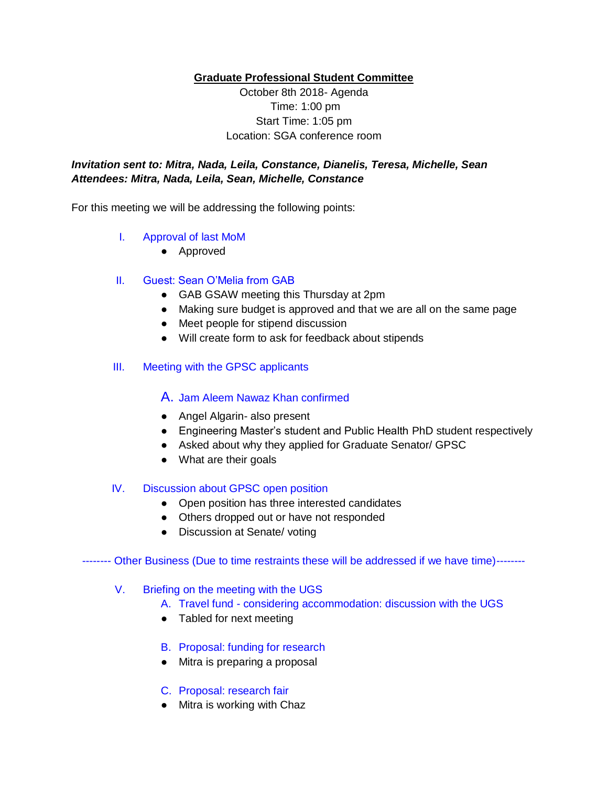**Graduate Professional Student Committee** 

October 8th 2018- Agenda Time: 1:00 pm Start Time: 1:05 pm Location: SGA conference room

# *Invitation sent to: Mitra, Nada, Leila, Constance, Dianelis, Teresa, Michelle, Sean Attendees: Mitra, Nada, Leila, Sean, Michelle, Constance*

For this meeting we will be addressing the following points:

### I. Approval of last MoM

● Approved

#### II. Guest: Sean O'Melia from GAB

- GAB GSAW meeting this Thursday at 2pm
- Making sure budget is approved and that we are all on the same page
- Meet people for stipend discussion
- Will create form to ask for feedback about stipends

### III. Meeting with the GPSC applicants

## A. Jam Aleem Nawaz Khan confirmed

- Angel Algarin- also present
- Engineering Master's student and Public Health PhD student respectively
- Asked about why they applied for Graduate Senator/ GPSC
- What are their goals

#### IV. Discussion about GPSC open position

- Open position has three interested candidates
- Others dropped out or have not responded
- Discussion at Senate/ voting

#### -------- Other Business (Due to time restraints these will be addressed if we have time)--------

#### V. Briefing on the meeting with the UGS

- A. Travel fund considering accommodation: discussion with the UGS
- Tabled for next meeting
- B. Proposal: funding for research
- Mitra is preparing a proposal

#### C. Proposal: research fair

● Mitra is working with Chaz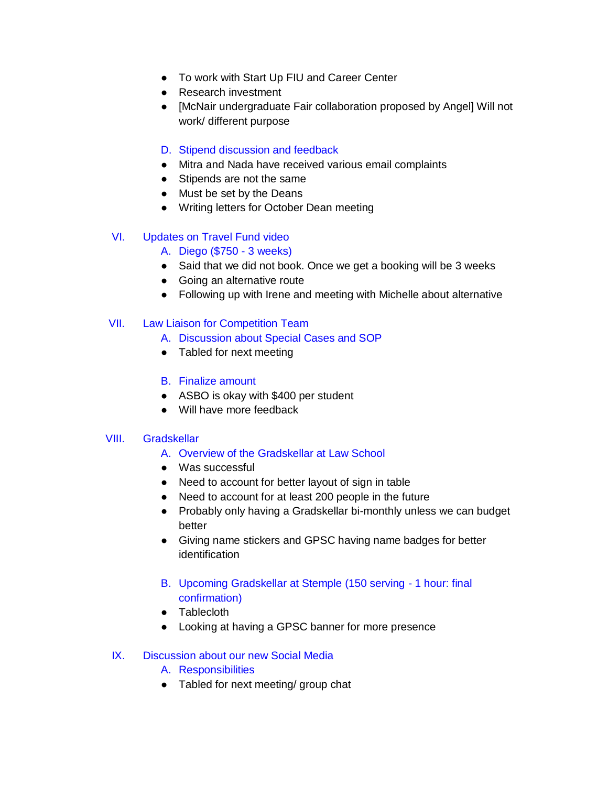- To work with Start Up FIU and Career Center
- Research investment
- [McNair undergraduate Fair collaboration proposed by Angel] Will not work/ different purpose
- D. Stipend discussion and feedback
- Mitra and Nada have received various email complaints
- Stipends are not the same
- Must be set by the Deans
- Writing letters for October Dean meeting

### VI. Updates on Travel Fund video

- A. Diego (\$750 3 weeks)
- Said that we did not book. Once we get a booking will be 3 weeks
- Going an alternative route
- Following up with Irene and meeting with Michelle about alternative

#### VII. Law Liaison for Competition Team

- A. Discussion about Special Cases and SOP
- Tabled for next meeting
- B. Finalize amount
- ASBO is okay with \$400 per student
- Will have more feedback

#### VIII. Gradskellar

- A. Overview of the Gradskellar at Law School
- Was successful
- Need to account for better layout of sign in table
- Need to account for at least 200 people in the future
- Probably only having a Gradskellar bi-monthly unless we can budget better
- Giving name stickers and GPSC having name badges for better identification
- B. Upcoming Gradskellar at Stemple (150 serving 1 hour: final confirmation)
- Tablecloth
- Looking at having a GPSC banner for more presence

#### IX. Discussion about our new Social Media

- A. Responsibilities
- Tabled for next meeting/ group chat